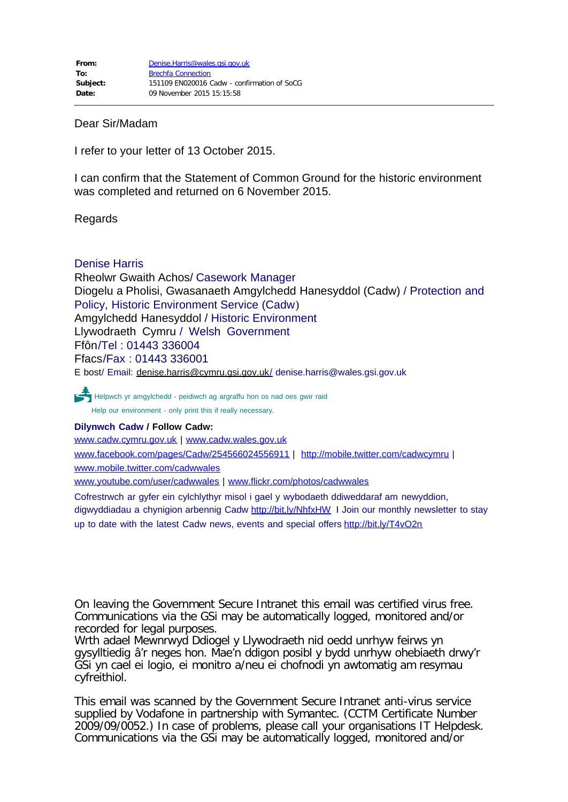## Dear Sir/Madam

I refer to your letter of 13 October 2015.

I can confirm that the Statement of Common Ground for the historic environment was completed and returned on 6 November 2015.

## Regards

## Denise Harris

Rheolwr Gwaith Achos/ Casework Manager Diogelu a Pholisi, Gwasanaeth Amgylchedd Hanesyddol (Cadw) / Protection and Policy, Historic Environment Service (Cadw) Amgylchedd Hanesyddol / Historic Environment Llywodraeth Cymru / Welsh Government Ffôn/Tel : 01443 336004 Ffacs/Fax : 01443 336001 E bost/ Email: [denise.harris@cymru.gsi.gov.uk/](mailto:denise.harris@cymru.gsi.gov.uk/) denise.harris@wales.gsi.gov.uk

PHelpwch yr amgylchedd - peidiwch ag argraffu hon os nad oes gwir raid Help our environment - only print this if really necessary.

## **Dilynwch Cadw / Follow Cadw:**

[www.cadw.cymru.gov.uk](http://www.cadw.cymru.gov.uk/) | [www.cadw.wales.gov.uk](http://www.cadw.wales.gov.uk/) [www.facebook.com/pages/Cadw/254566024556911](http://www.facebook.com/pages/Cadw/254566024556911) | <http://mobile.twitter.com/cadwcymru> | [www.mobile.twitter.com/cadwwales](http://www.mobile.twitter.com/cadwwales) [www.youtube.com/user/cadwwales](http://www.youtube.com/user/cadwwales) | [www.flickr.com/photos/cadwwales](http://www.flickr.com/photos/cadwwales)

Cofrestrwch ar gyfer ein cylchlythyr misol i gael y wybodaeth ddiweddaraf am newyddion, digwyddiadau a chynigion arbennig Cadw <http://bit.ly/NhfxHW> I Join our monthly newsletter to stay up to date with the latest Cadw news, events and special offers <http://bit.ly/T4vO2n>

On leaving the Government Secure Intranet this email was certified virus free. Communications via the GSi may be automatically logged, monitored and/or recorded for legal purposes.

Wrth adael Mewnrwyd Ddiogel y Llywodraeth nid oedd unrhyw feirws yn gysylltiedig â'r neges hon. Mae'n ddigon posibl y bydd unrhyw ohebiaeth drwy'r GSi yn cael ei logio, ei monitro a/neu ei chofnodi yn awtomatig am resymau cyfreithiol.

This email was scanned by the Government Secure Intranet anti-virus service supplied by Vodafone in partnership with Symantec. (CCTM Certificate Number 2009/09/0052.) In case of problems, please call your organisations IT Helpdesk. Communications via the GSi may be automatically logged, monitored and/or